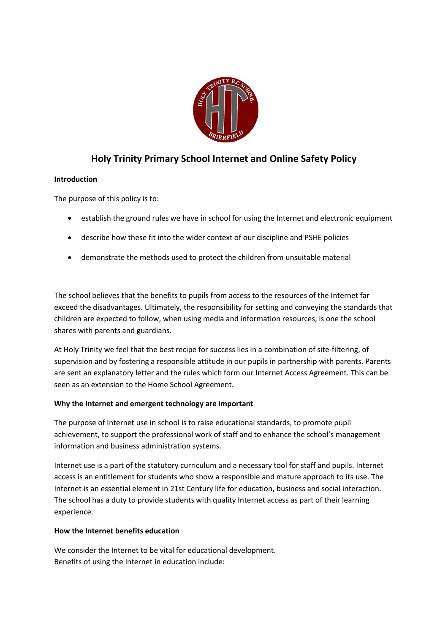

# **Holy Trinity Primary School Internet and Online Safety Policy**

# **Introduction**

The purpose of this policy is to:

- establish the ground rules we have in school for using the Internet and electronic equipment
- describe how these fit into the wider context of our discipline and PSHE policies
- demonstrate the methods used to protect the children from unsuitable material

The school believes that the benefits to pupils from access to the resources of the Internet far exceed the disadvantages. Ultimately, the responsibility for setting and conveying the standards that children are expected to follow, when using media and information resources, is one the school shares with parents and guardians.

At Holy Trinity we feel that the best recipe for success lies in a combination of site-filtering, of supervision and by fostering a responsible attitude in our pupils in partnership with parents. Parents are sent an explanatory letter and the rules which form our Internet Access Agreement. This can be seen as an extension to the Home School Agreement.

# **Why the Internet and emergent technology are important**

The purpose of Internet use in school is to raise educational standards, to promote pupil achievement, to support the professional work of staff and to enhance the school's management information and business administration systems.

Internet use is a part of the statutory curriculum and a necessary tool for staff and pupils. Internet access is an entitlement for students who show a responsible and mature approach to its use. The Internet is an essential element in 21st Century life for education, business and social interaction. The school has a duty to provide students with quality Internet access as part of their learning experience.

# **How the Internet benefits education**

We consider the Internet to be vital for educational development. Benefits of using the Internet in education include: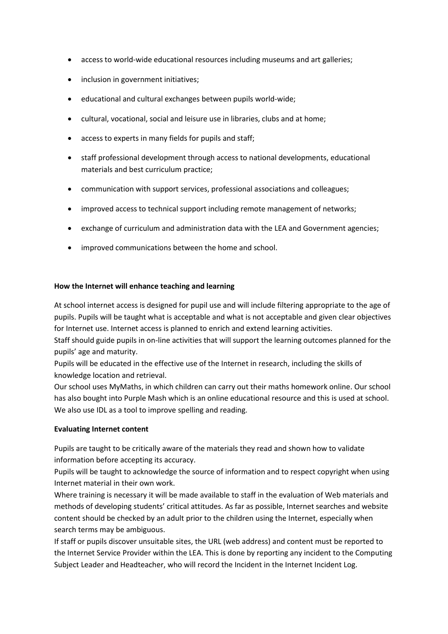- access to world-wide educational resources including museums and art galleries;
- inclusion in government initiatives;
- educational and cultural exchanges between pupils world-wide;
- cultural, vocational, social and leisure use in libraries, clubs and at home;
- access to experts in many fields for pupils and staff;
- staff professional development through access to national developments, educational materials and best curriculum practice;
- communication with support services, professional associations and colleagues;
- improved access to technical support including remote management of networks;
- exchange of curriculum and administration data with the LEA and Government agencies;
- improved communications between the home and school.

#### **How the Internet will enhance teaching and learning**

At school internet access is designed for pupil use and will include filtering appropriate to the age of pupils. Pupils will be taught what is acceptable and what is not acceptable and given clear objectives for Internet use. Internet access is planned to enrich and extend learning activities.

Staff should guide pupils in on-line activities that will support the learning outcomes planned for the pupils' age and maturity.

Pupils will be educated in the effective use of the Internet in research, including the skills of knowledge location and retrieval.

Our school uses MyMaths, in which children can carry out their maths homework online. Our school has also bought into Purple Mash which is an online educational resource and this is used at school. We also use IDL as a tool to improve spelling and reading.

#### **Evaluating Internet content**

Pupils are taught to be critically aware of the materials they read and shown how to validate information before accepting its accuracy.

Pupils will be taught to acknowledge the source of information and to respect copyright when using Internet material in their own work.

Where training is necessary it will be made available to staff in the evaluation of Web materials and methods of developing students' critical attitudes. As far as possible, Internet searches and website content should be checked by an adult prior to the children using the Internet, especially when search terms may be ambiguous.

If staff or pupils discover unsuitable sites, the URL (web address) and content must be reported to the Internet Service Provider within the LEA. This is done by reporting any incident to the Computing Subject Leader and Headteacher, who will record the Incident in the Internet Incident Log.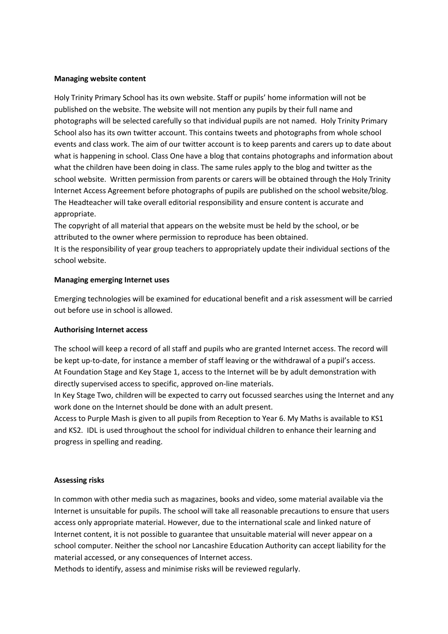#### **Managing website content**

Holy Trinity Primary School has its own website. Staff or pupils' home information will not be published on the website. The website will not mention any pupils by their full name and photographs will be selected carefully so that individual pupils are not named. Holy Trinity Primary School also has its own twitter account. This contains tweets and photographs from whole school events and class work. The aim of our twitter account is to keep parents and carers up to date about what is happening in school. Class One have a blog that contains photographs and information about what the children have been doing in class. The same rules apply to the blog and twitter as the school website. Written permission from parents or carers will be obtained through the Holy Trinity Internet Access Agreement before photographs of pupils are published on the school website/blog. The Headteacher will take overall editorial responsibility and ensure content is accurate and appropriate.

The copyright of all material that appears on the website must be held by the school, or be attributed to the owner where permission to reproduce has been obtained.

It is the responsibility of year group teachers to appropriately update their individual sections of the school website.

#### **Managing emerging Internet uses**

Emerging technologies will be examined for educational benefit and a risk assessment will be carried out before use in school is allowed.

#### **Authorising Internet access**

The school will keep a record of all staff and pupils who are granted Internet access. The record will be kept up-to-date, for instance a member of staff leaving or the withdrawal of a pupil's access. At Foundation Stage and Key Stage 1, access to the Internet will be by adult demonstration with directly supervised access to specific, approved on-line materials.

In Key Stage Two, children will be expected to carry out focussed searches using the Internet and any work done on the Internet should be done with an adult present.

Access to Purple Mash is given to all pupils from Reception to Year 6. My Maths is available to KS1 and KS2. IDL is used throughout the school for individual children to enhance their learning and progress in spelling and reading.

#### **Assessing risks**

In common with other media such as magazines, books and video, some material available via the Internet is unsuitable for pupils. The school will take all reasonable precautions to ensure that users access only appropriate material. However, due to the international scale and linked nature of Internet content, it is not possible to guarantee that unsuitable material will never appear on a school computer. Neither the school nor Lancashire Education Authority can accept liability for the material accessed, or any consequences of Internet access.

Methods to identify, assess and minimise risks will be reviewed regularly.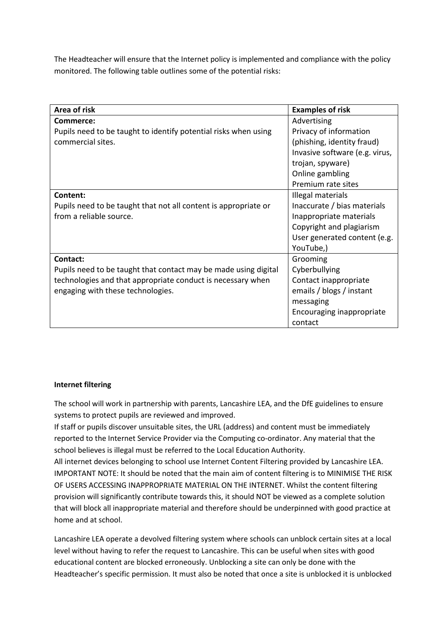The Headteacher will ensure that the Internet policy is implemented and compliance with the policy monitored. The following table outlines some of the potential risks:

| Area of risk                                                    | <b>Examples of risk</b>        |
|-----------------------------------------------------------------|--------------------------------|
| Commerce:                                                       | Advertising                    |
| Pupils need to be taught to identify potential risks when using | Privacy of information         |
| commercial sites.                                               | (phishing, identity fraud)     |
|                                                                 | Invasive software (e.g. virus, |
|                                                                 | trojan, spyware)               |
|                                                                 | Online gambling                |
|                                                                 | Premium rate sites             |
| Content:                                                        | Illegal materials              |
| Pupils need to be taught that not all content is appropriate or | Inaccurate / bias materials    |
| from a reliable source.                                         | Inappropriate materials        |
|                                                                 | Copyright and plagiarism       |
|                                                                 | User generated content (e.g.   |
|                                                                 | YouTube,)                      |
| Contact:                                                        | Grooming                       |
| Pupils need to be taught that contact may be made using digital | Cyberbullying                  |
| technologies and that appropriate conduct is necessary when     | Contact inappropriate          |
| engaging with these technologies.                               | emails / blogs / instant       |
|                                                                 | messaging                      |
|                                                                 | Encouraging inappropriate      |
|                                                                 | contact                        |

### **Internet filtering**

The school will work in partnership with parents, Lancashire LEA, and the DfE guidelines to ensure systems to protect pupils are reviewed and improved.

If staff or pupils discover unsuitable sites, the URL (address) and content must be immediately reported to the Internet Service Provider via the Computing co-ordinator. Any material that the school believes is illegal must be referred to the Local Education Authority.

All internet devices belonging to school use Internet Content Filtering provided by Lancashire LEA. IMPORTANT NOTE: It should be noted that the main aim of content filtering is to MINIMISE THE RISK OF USERS ACCESSING INAPPROPRIATE MATERIAL ON THE INTERNET. Whilst the content filtering provision will significantly contribute towards this, it should NOT be viewed as a complete solution that will block all inappropriate material and therefore should be underpinned with good practice at home and at school.

Lancashire LEA operate a devolved filtering system where schools can unblock certain sites at a local level without having to refer the request to Lancashire. This can be useful when sites with good educational content are blocked erroneously. Unblocking a site can only be done with the Headteacher's specific permission. It must also be noted that once a site is unblocked it is unblocked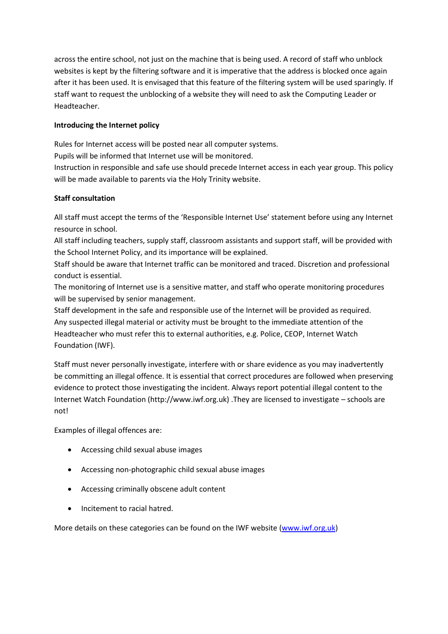across the entire school, not just on the machine that is being used. A record of staff who unblock websites is kept by the filtering software and it is imperative that the address is blocked once again after it has been used. It is envisaged that this feature of the filtering system will be used sparingly. If staff want to request the unblocking of a website they will need to ask the Computing Leader or Headteacher.

# **Introducing the Internet policy**

Rules for Internet access will be posted near all computer systems.

Pupils will be informed that Internet use will be monitored.

Instruction in responsible and safe use should precede Internet access in each year group. This policy will be made available to parents via the Holy Trinity website.

# **Staff consultation**

All staff must accept the terms of the 'Responsible Internet Use' statement before using any Internet resource in school.

All staff including teachers, supply staff, classroom assistants and support staff, will be provided with the School Internet Policy, and its importance will be explained.

Staff should be aware that Internet traffic can be monitored and traced. Discretion and professional conduct is essential.

The monitoring of Internet use is a sensitive matter, and staff who operate monitoring procedures will be supervised by senior management.

Staff development in the safe and responsible use of the Internet will be provided as required. Any suspected illegal material or activity must be brought to the immediate attention of the Headteacher who must refer this to external authorities, e.g. Police, CEOP, Internet Watch Foundation (IWF).

Staff must never personally investigate, interfere with or share evidence as you may inadvertently be committing an illegal offence. It is essential that correct procedures are followed when preserving evidence to protect those investigating the incident. Always report potential illegal content to the Internet Watch Foundation (http://www.iwf.org.uk) .They are licensed to investigate – schools are not!

Examples of illegal offences are:

- Accessing child sexual abuse images
- Accessing non-photographic child sexual abuse images
- Accessing criminally obscene adult content
- Incitement to racial hatred.

More details on these categories can be found on the IWF website [\(www.iwf.org.uk\)](http://www.iwf.org.uk/)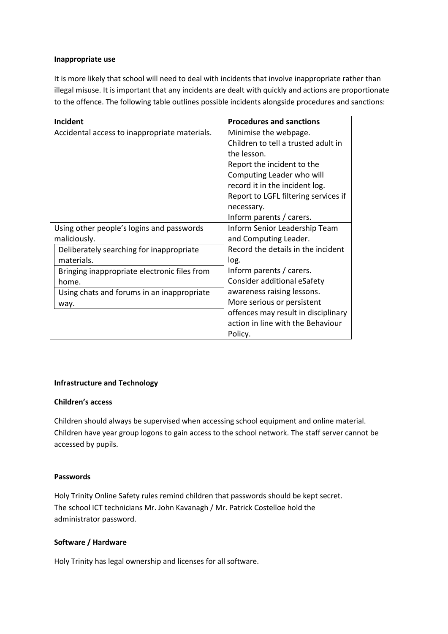#### **Inappropriate use**

It is more likely that school will need to deal with incidents that involve inappropriate rather than illegal misuse. It is important that any incidents are dealt with quickly and actions are proportionate to the offence. The following table outlines possible incidents alongside procedures and sanctions:

| <b>Incident</b>                               | <b>Procedures and sanctions</b>      |
|-----------------------------------------------|--------------------------------------|
| Accidental access to inappropriate materials. | Minimise the webpage.                |
|                                               | Children to tell a trusted adult in  |
|                                               | the lesson.                          |
|                                               | Report the incident to the           |
|                                               | Computing Leader who will            |
|                                               | record it in the incident log.       |
|                                               | Report to LGFL filtering services if |
|                                               | necessary.                           |
|                                               | Inform parents / carers.             |
| Using other people's logins and passwords     | Inform Senior Leadership Team        |
| maliciously.                                  | and Computing Leader.                |
| Deliberately searching for inappropriate      | Record the details in the incident   |
| materials.                                    | log.                                 |
| Bringing inappropriate electronic files from  | Inform parents / carers.             |
| home.                                         | Consider additional eSafety          |
| Using chats and forums in an inappropriate    | awareness raising lessons.           |
| way.                                          | More serious or persistent           |
|                                               | offences may result in disciplinary  |
|                                               | action in line with the Behaviour    |
|                                               | Policy.                              |

### **Infrastructure and Technology**

### **Children's access**

Children should always be supervised when accessing school equipment and online material. Children have year group logons to gain access to the school network. The staff server cannot be accessed by pupils.

### **Passwords**

Holy Trinity Online Safety rules remind children that passwords should be kept secret. The school ICT technicians Mr. John Kavanagh / Mr. Patrick Costelloe hold the administrator password.

### **Software / Hardware**

Holy Trinity has legal ownership and licenses for all software.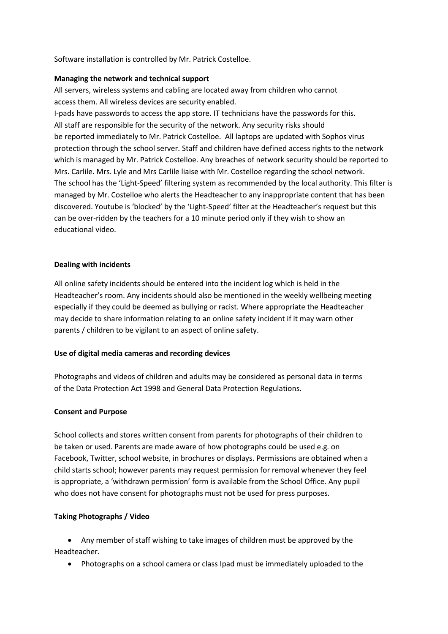Software installation is controlled by Mr. Patrick Costelloe.

### **Managing the network and technical support**

All servers, wireless systems and cabling are located away from children who cannot access them. All wireless devices are security enabled.

I-pads have passwords to access the app store. IT technicians have the passwords for this. All staff are responsible for the security of the network. Any security risks should be reported immediately to Mr. Patrick Costelloe. All laptops are updated with Sophos virus protection through the school server. Staff and children have defined access rights to the network which is managed by Mr. Patrick Costelloe. Any breaches of network security should be reported to Mrs. Carlile. Mrs. Lyle and Mrs Carlile liaise with Mr. Costelloe regarding the school network. The school has the 'Light-Speed' filtering system as recommended by the local authority. This filter is managed by Mr. Costelloe who alerts the Headteacher to any inappropriate content that has been discovered. Youtube is 'blocked' by the 'Light-Speed' filter at the Headteacher's request but this can be over-ridden by the teachers for a 10 minute period only if they wish to show an educational video.

### **Dealing with incidents**

All online safety incidents should be entered into the incident log which is held in the Headteacher's room. Any incidents should also be mentioned in the weekly wellbeing meeting especially if they could be deemed as bullying or racist. Where appropriate the Headteacher may decide to share information relating to an online safety incident if it may warn other parents / children to be vigilant to an aspect of online safety.

# **Use of digital media cameras and recording devices**

Photographs and videos of children and adults may be considered as personal data in terms of the Data Protection Act 1998 and General Data Protection Regulations.

# **Consent and Purpose**

School collects and stores written consent from parents for photographs of their children to be taken or used. Parents are made aware of how photographs could be used e.g. on Facebook, Twitter, school website, in brochures or displays. Permissions are obtained when a child starts school; however parents may request permission for removal whenever they feel is appropriate, a 'withdrawn permission' form is available from the School Office. Any pupil who does not have consent for photographs must not be used for press purposes.

# **Taking Photographs / Video**

 Any member of staff wishing to take images of children must be approved by the Headteacher.

Photographs on a school camera or class Ipad must be immediately uploaded to the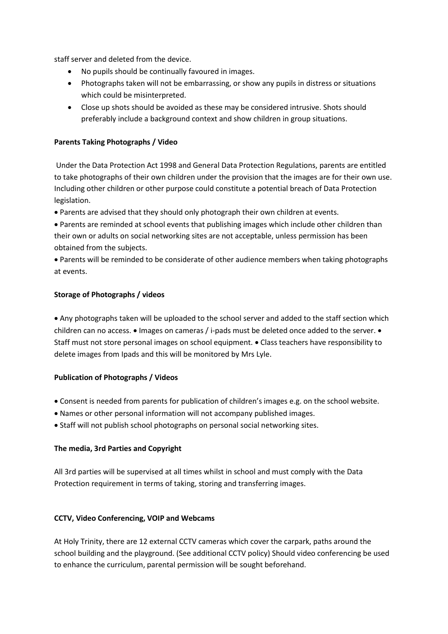staff server and deleted from the device.

- No pupils should be continually favoured in images.
- Photographs taken will not be embarrassing, or show any pupils in distress or situations which could be misinterpreted.
- Close up shots should be avoided as these may be considered intrusive. Shots should preferably include a background context and show children in group situations.

### **Parents Taking Photographs / Video**

Under the Data Protection Act 1998 and General Data Protection Regulations, parents are entitled to take photographs of their own children under the provision that the images are for their own use. Including other children or other purpose could constitute a potential breach of Data Protection legislation.

Parents are advised that they should only photograph their own children at events.

 Parents are reminded at school events that publishing images which include other children than their own or adults on social networking sites are not acceptable, unless permission has been obtained from the subjects.

 Parents will be reminded to be considerate of other audience members when taking photographs at events.

### **Storage of Photographs / videos**

 Any photographs taken will be uploaded to the school server and added to the staff section which children can no access.  $\bullet$  Images on cameras / i-pads must be deleted once added to the server.  $\bullet$ Staff must not store personal images on school equipment.  $\bullet$  Class teachers have responsibility to delete images from Ipads and this will be monitored by Mrs Lyle.

### **Publication of Photographs / Videos**

- Consent is needed from parents for publication of children's images e.g. on the school website.
- Names or other personal information will not accompany published images.
- Staff will not publish school photographs on personal social networking sites.

### **The media, 3rd Parties and Copyright**

All 3rd parties will be supervised at all times whilst in school and must comply with the Data Protection requirement in terms of taking, storing and transferring images.

### **CCTV, Video Conferencing, VOIP and Webcams**

At Holy Trinity, there are 12 external CCTV cameras which cover the carpark, paths around the school building and the playground. (See additional CCTV policy) Should video conferencing be used to enhance the curriculum, parental permission will be sought beforehand.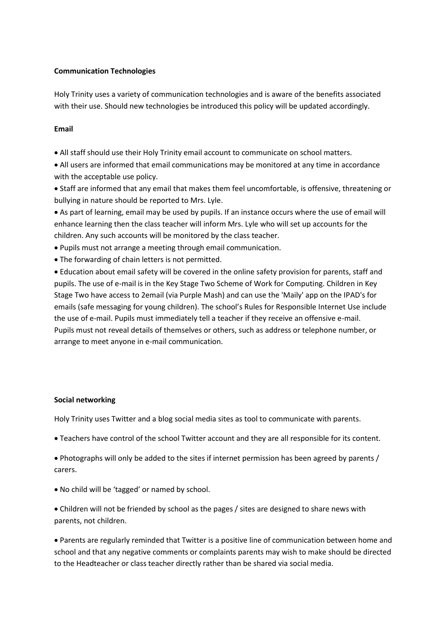### **Communication Technologies**

Holy Trinity uses a variety of communication technologies and is aware of the benefits associated with their use. Should new technologies be introduced this policy will be updated accordingly.

### **Email**

- All staff should use their Holy Trinity email account to communicate on school matters.
- All users are informed that email communications may be monitored at any time in accordance with the acceptable use policy.
- Staff are informed that any email that makes them feel uncomfortable, is offensive, threatening or bullying in nature should be reported to Mrs. Lyle.

 As part of learning, email may be used by pupils. If an instance occurs where the use of email will enhance learning then the class teacher will inform Mrs. Lyle who will set up accounts for the children. Any such accounts will be monitored by the class teacher.

- Pupils must not arrange a meeting through email communication.
- The forwarding of chain letters is not permitted.

 Education about email safety will be covered in the online safety provision for parents, staff and pupils. The use of e-mail is in the Key Stage Two Scheme of Work for Computing. Children in Key Stage Two have access to 2email (via Purple Mash) and can use the 'Maily' app on the IPAD's for emails (safe messaging for young children). The school's Rules for Responsible Internet Use include the use of e-mail. Pupils must immediately tell a teacher if they receive an offensive e-mail. Pupils must not reveal details of themselves or others, such as address or telephone number, or arrange to meet anyone in e-mail communication.

### **Social networking**

Holy Trinity uses Twitter and a blog social media sites as tool to communicate with parents.

Teachers have control of the school Twitter account and they are all responsible for its content.

 Photographs will only be added to the sites if internet permission has been agreed by parents / carers.

No child will be 'tagged' or named by school.

 Children will not be friended by school as the pages / sites are designed to share news with parents, not children.

 Parents are regularly reminded that Twitter is a positive line of communication between home and school and that any negative comments or complaints parents may wish to make should be directed to the Headteacher or class teacher directly rather than be shared via social media.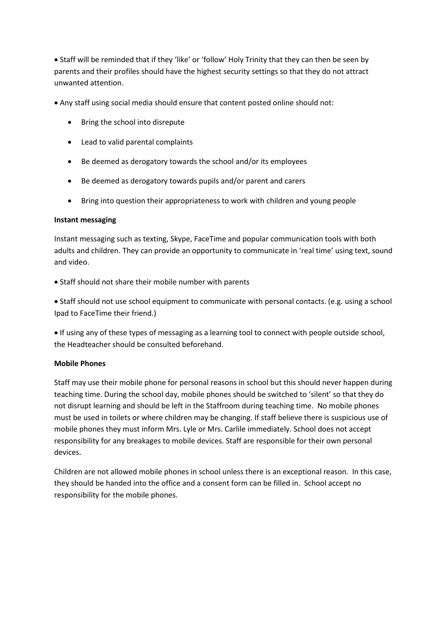Staff will be reminded that if they 'like' or 'follow' Holy Trinity that they can then be seen by parents and their profiles should have the highest security settings so that they do not attract unwanted attention.

Any staff using social media should ensure that content posted online should not:

- Bring the school into disrepute
- Lead to valid parental complaints
- Be deemed as derogatory towards the school and/or its employees
- Be deemed as derogatory towards pupils and/or parent and carers
- Bring into question their appropriateness to work with children and young people

#### **Instant messaging**

Instant messaging such as texting, Skype, FaceTime and popular communication tools with both adults and children. They can provide an opportunity to communicate in 'real time' using text, sound and video.

• Staff should not share their mobile number with parents

 Staff should not use school equipment to communicate with personal contacts. (e.g. using a school Ipad to FaceTime their friend.)

 If using any of these types of messaging as a learning tool to connect with people outside school, the Headteacher should be consulted beforehand.

### **Mobile Phones**

Staff may use their mobile phone for personal reasons in school but this should never happen during teaching time. During the school day, mobile phones should be switched to 'silent' so that they do not disrupt learning and should be left in the Staffroom during teaching time. No mobile phones must be used in toilets or where children may be changing. If staff believe there is suspicious use of mobile phones they must inform Mrs. Lyle or Mrs. Carlile immediately. School does not accept responsibility for any breakages to mobile devices. Staff are responsible for their own personal devices.

Children are not allowed mobile phones in school unless there is an exceptional reason. In this case, they should be handed into the office and a consent form can be filled in. School accept no responsibility for the mobile phones.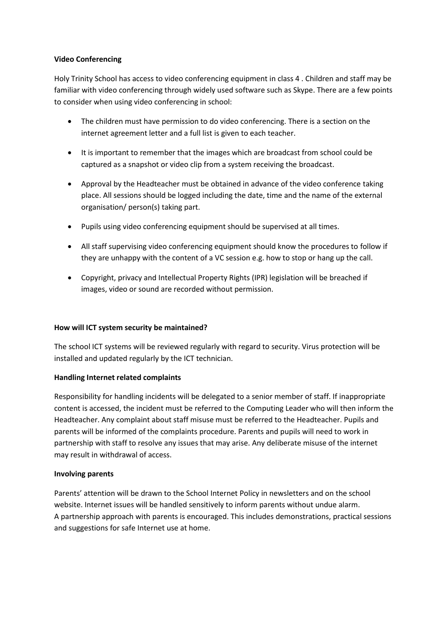### **Video Conferencing**

Holy Trinity School has access to video conferencing equipment in class 4 . Children and staff may be familiar with video conferencing through widely used software such as Skype. There are a few points to consider when using video conferencing in school:

- The children must have permission to do video conferencing. There is a section on the internet agreement letter and a full list is given to each teacher.
- It is important to remember that the images which are broadcast from school could be captured as a snapshot or video clip from a system receiving the broadcast.
- Approval by the Headteacher must be obtained in advance of the video conference taking place. All sessions should be logged including the date, time and the name of the external organisation/ person(s) taking part.
- Pupils using video conferencing equipment should be supervised at all times.
- All staff supervising video conferencing equipment should know the procedures to follow if they are unhappy with the content of a VC session e.g. how to stop or hang up the call.
- Copyright, privacy and Intellectual Property Rights (IPR) legislation will be breached if images, video or sound are recorded without permission.

### **How will ICT system security be maintained?**

The school ICT systems will be reviewed regularly with regard to security. Virus protection will be installed and updated regularly by the ICT technician.

# **Handling Internet related complaints**

Responsibility for handling incidents will be delegated to a senior member of staff. If inappropriate content is accessed, the incident must be referred to the Computing Leader who will then inform the Headteacher. Any complaint about staff misuse must be referred to the Headteacher. Pupils and parents will be informed of the complaints procedure. Parents and pupils will need to work in partnership with staff to resolve any issues that may arise. Any deliberate misuse of the internet may result in withdrawal of access.

### **Involving parents**

Parents' attention will be drawn to the School Internet Policy in newsletters and on the school website. Internet issues will be handled sensitively to inform parents without undue alarm. A partnership approach with parents is encouraged. This includes demonstrations, practical sessions and suggestions for safe Internet use at home.